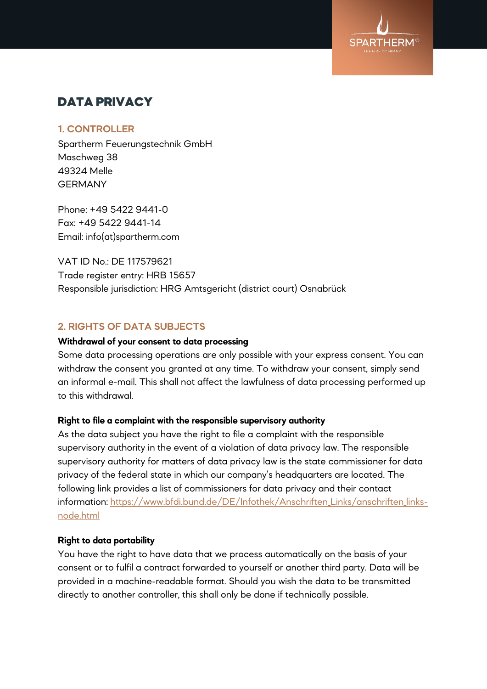

# DATA PRIVACY

# **1. CONTROLLER**

Spartherm Feuerungstechnik GmbH Maschweg 38 49324 Melle **GERMANY** 

Phone: +49 5422 9441-0 Fax: +49 5422 9441-14 Email: info(at)spartherm.com

VAT ID No.: DE 117579621 Trade register entry: HRB 15657 Responsible jurisdiction: HRG Amtsgericht (district court) Osnabrück

# **2. RIGHTS OF DATA SUBJECTS**

### **Withdrawal of your consent to data processing**

Some data processing operations are only possible with your express consent. You can withdraw the consent you granted at any time. To withdraw your consent, simply send an informal e-mail. This shall not affect the lawfulness of data processing performed up to this withdrawal.

# **Right to file a complaint with the responsible supervisory authority**

As the data subject you have the right to file a complaint with the responsible supervisory authority in the event of a violation of data privacy law. The responsible supervisory authority for matters of data privacy law is the state commissioner for data privacy of the federal state in which our company's headquarters are located. The following link provides a list of commissioners for data privacy and their contact information: https://www.bfdi.bund.de/DE/Infothek/Anschriften Links/anschriften links[node.html](https://www.bfdi.bund.de/DE/Infothek/Anschriften_Links/anschriften_links-node.html)

# **Right to data portability**

You have the right to have data that we process automatically on the basis of your consent or to fulfil a contract forwarded to yourself or another third party. Data will be provided in a machine-readable format. Should you wish the data to be transmitted directly to another controller, this shall only be done if technically possible.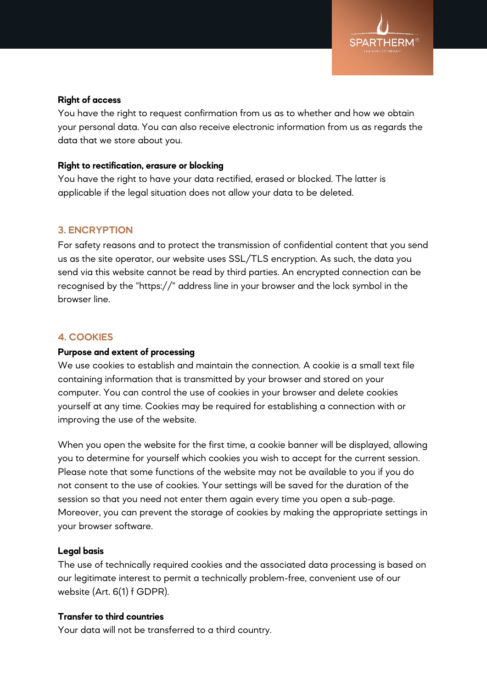

#### **Right of access**

You have the right to request confirmation from us as to whether and how we obtain your personal data. You can also receive electronic information from us as regards the data that we store about you.

#### **Right to rectification, erasure or blocking**

You have the right to have your data rectified, erased or blocked. The latter is applicable if the legal situation does not allow your data to be deleted.

# **3. ENCRYPTION**

For safety reasons and to protect the transmission of confidential content that you send us as the site operator, our website uses SSL/TLS encryption. As such, the data you send via this website cannot be read by third parties. An encrypted connection can be recognised by the "https://" address line in your browser and the lock symbol in the browser line.

# **4. COOKIES**

# **Purpose and extent of processing**

We use cookies to establish and maintain the connection. A cookie is a small text file containing information that is transmitted by your browser and stored on your computer. You can control the use of cookies in your browser and delete cookies yourself at any time. Cookies may be required for establishing a connection with or improving the use of the website.

When you open the website for the first time, a cookie banner will be displayed, allowing you to determine for yourself which cookies you wish to accept for the current session. Please note that some functions of the website may not be available to you if you do not consent to the use of cookies. Your settings will be saved for the duration of the session so that you need not enter them again every time you open a sub-page. Moreover, you can prevent the storage of cookies by making the appropriate settings in your browser software.

# **Legal basis**

The use of technically required cookies and the associated data processing is based on our legitimate interest to permit a technically problem-free, convenient use of our website (Art. 6(1) f GDPR).

#### **Transfer to third countries**

Your data will not be transferred to a third country.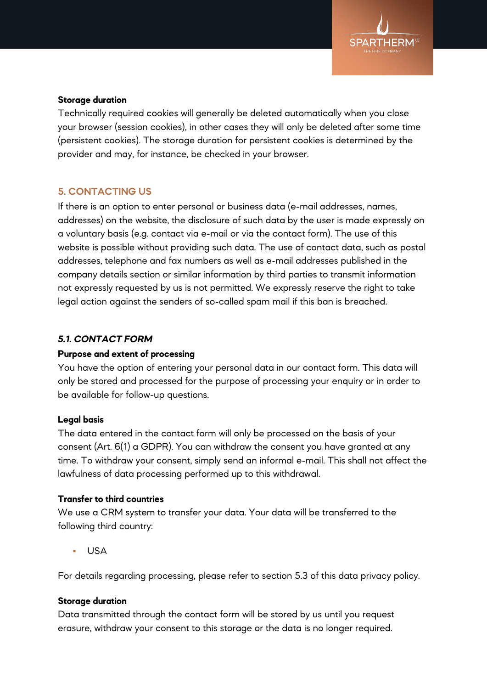

# **Storage duration**

Technically required cookies will generally be deleted automatically when you close your browser (session cookies), in other cases they will only be deleted after some time (persistent cookies). The storage duration for persistent cookies is determined by the provider and may, for instance, be checked in your browser.

# **5. CONTACTING US**

If there is an option to enter personal or business data (e-mail addresses, names, addresses) on the website, the disclosure of such data by the user is made expressly on a voluntary basis (e.g. contact via e-mail or via the contact form). The use of this website is possible without providing such data. The use of contact data, such as postal addresses, telephone and fax numbers as well as e-mail addresses published in the company details section or similar information by third parties to transmit information not expressly requested by us is not permitted. We expressly reserve the right to take legal action against the senders of so-called spam mail if this ban is breached.

# *5.1. CONTACT FORM*

# **Purpose and extent of processing**

You have the option of entering your personal data in our contact form. This data will only be stored and processed for the purpose of processing your enquiry or in order to be available for follow-up questions.

# **Legal basis**

The data entered in the contact form will only be processed on the basis of your consent (Art. 6(1) a GDPR). You can withdraw the consent you have granted at any time. To withdraw your consent, simply send an informal e-mail. This shall not affect the lawfulness of data processing performed up to this withdrawal.

# **Transfer to third countries**

We use a CRM system to transfer your data. Your data will be transferred to the following third country:

USA

For details regarding processing, please refer to section 5.3 of this data privacy policy.

# **Storage duration**

Data transmitted through the contact form will be stored by us until you request erasure, withdraw your consent to this storage or the data is no longer required.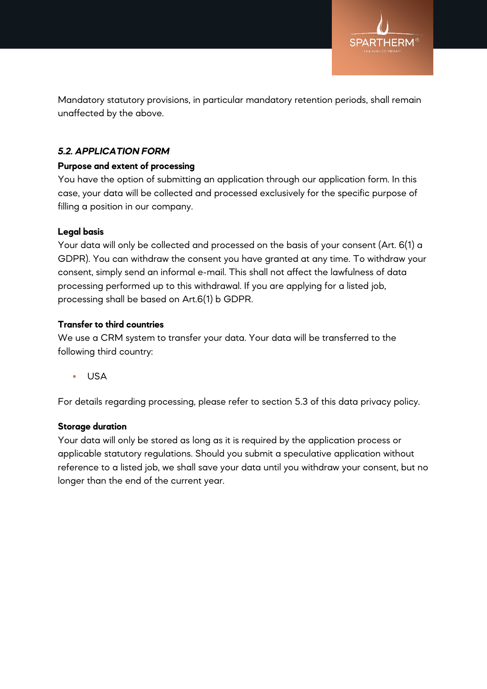

Mandatory statutory provisions, in particular mandatory retention periods, shall remain unaffected by the above.

# *5.2. APPLICATION FORM*

# **Purpose and extent of processing**

You have the option of submitting an application through our application form. In this case, your data will be collected and processed exclusively for the specific purpose of filling a position in our company.

# **Legal basis**

Your data will only be collected and processed on the basis of your consent (Art. 6(1) a GDPR). You can withdraw the consent you have granted at any time. To withdraw your consent, simply send an informal e-mail. This shall not affect the lawfulness of data processing performed up to this withdrawal. If you are applying for a listed job, processing shall be based on Art.6(1) b GDPR.

# **Transfer to third countries**

We use a CRM system to transfer your data. Your data will be transferred to the following third country:

USA

For details regarding processing, please refer to section 5.3 of this data privacy policy.

# **Storage duration**

Your data will only be stored as long as it is required by the application process or applicable statutory regulations. Should you submit a speculative application without reference to a listed job, we shall save your data until you withdraw your consent, but no longer than the end of the current year.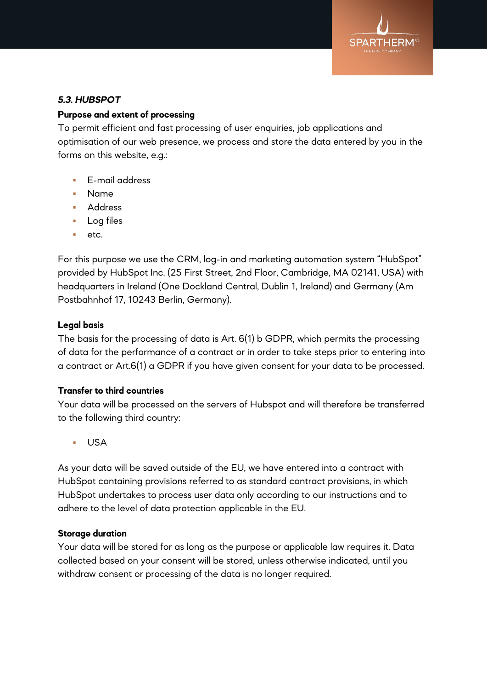

# *5.3. HUBSPOT*

# **Purpose and extent of processing**

To permit efficient and fast processing of user enquiries, job applications and optimisation of our web presence, we process and store the data entered by you in the forms on this website, e.g.:

- **E-mail address**
- Name
- **Address**
- **Log files**
- etc.

For this purpose we use the CRM, log-in and marketing automation system "HubSpot" provided by HubSpot Inc. (25 First Street, 2nd Floor, Cambridge, MA 02141, USA) with headquarters in Ireland (One Dockland Central, Dublin 1, Ireland) and Germany (Am Postbahnhof 17, 10243 Berlin, Germany).

# **Legal basis**

The basis for the processing of data is Art. 6(1) b GDPR, which permits the processing of data for the performance of a contract or in order to take steps prior to entering into a contract or Art.6(1) a GDPR if you have given consent for your data to be processed.

# **Transfer to third countries**

Your data will be processed on the servers of Hubspot and will therefore be transferred to the following third country:

USA

As your data will be saved outside of the EU, we have entered into a contract with HubSpot containing provisions referred to as standard contract provisions, in which HubSpot undertakes to process user data only according to our instructions and to adhere to the level of data protection applicable in the EU.

# **Storage duration**

Your data will be stored for as long as the purpose or applicable law requires it. Data collected based on your consent will be stored, unless otherwise indicated, until you withdraw consent or processing of the data is no longer required.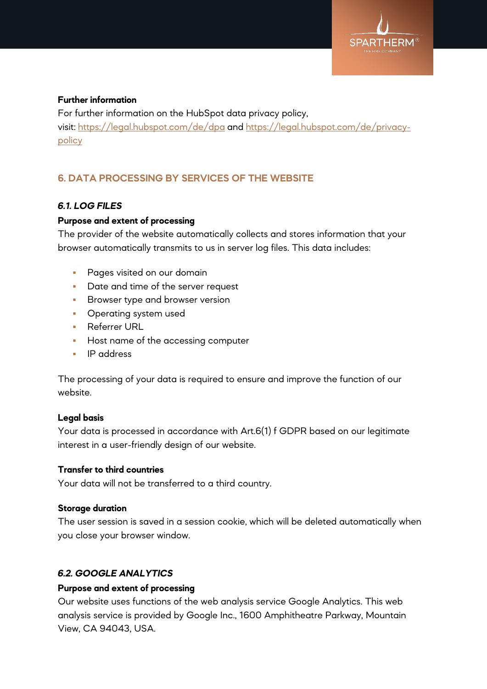

# **Further information**

For further information on the HubSpot data privacy policy, visit: <https://legal.hubspot.com/de/dpa> and [https://legal.hubspot.com/de/privacy](https://legal.hubspot.com/de/privacy-policy)[policy](https://legal.hubspot.com/de/privacy-policy)

# **6. DATA PROCESSING BY SERVICES OF THE WEBSITE**

# *6.1. LOG FILES*

# **Purpose and extent of processing**

The provider of the website automatically collects and stores information that your browser automatically transmits to us in server log files. This data includes:

- **Pages visited on our domain**
- Date and time of the server request
- **Browser type and browser version**
- **•** Operating system used
- **Referrer URL**
- Host name of the accessing computer
- **IP** address

The processing of your data is required to ensure and improve the function of our website.

# **Legal basis**

Your data is processed in accordance with Art.6(1) f GDPR based on our legitimate interest in a user-friendly design of our website.

# **Transfer to third countries**

Your data will not be transferred to a third country.

# **Storage duration**

The user session is saved in a session cookie, which will be deleted automatically when you close your browser window.

# *6.2. GOOGLE ANALYTICS*

# **Purpose and extent of processing**

Our website uses functions of the web analysis service Google Analytics. This web analysis service is provided by Google Inc., 1600 Amphitheatre Parkway, Mountain View, CA 94043, USA.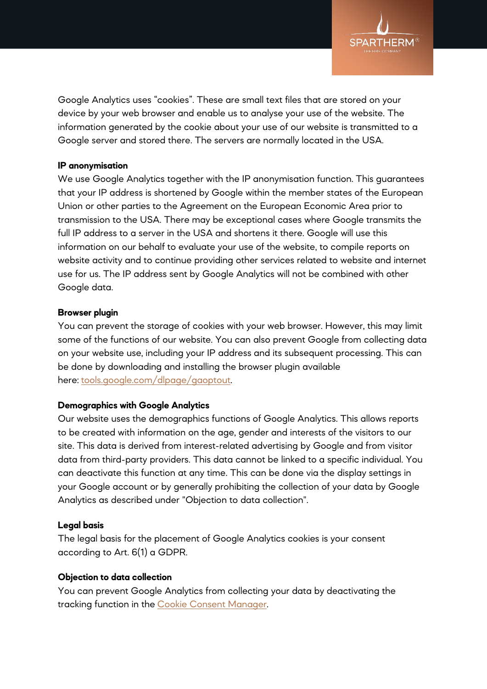

Google Analytics uses "cookies". These are small text files that are stored on your device by your web browser and enable us to analyse your use of the website. The information generated by the cookie about your use of our website is transmitted to a Google server and stored there. The servers are normally located in the USA.

### **IP anonymisation**

We use Google Analytics together with the IP anonymisation function. This guarantees that your IP address is shortened by Google within the member states of the European Union or other parties to the Agreement on the European Economic Area prior to transmission to the USA. There may be exceptional cases where Google transmits the full IP address to a server in the USA and shortens it there. Google will use this information on our behalf to evaluate your use of the website, to compile reports on website activity and to continue providing other services related to website and internet use for us. The IP address sent by Google Analytics will not be combined with other Google data.

#### **Browser plugin**

You can prevent the storage of cookies with your web browser. However, this may limit some of the functions of our website. You can also prevent Google from collecting data on your website use, including your IP address and its subsequent processing. This can be done by downloading and installing the browser plugin available here: [tools.google.com/dlpage/gaoptout.](http://tools.google.com/dlpage/gaoptout)

# **Demographics with Google Analytics**

Our website uses the demographics functions of Google Analytics. This allows reports to be created with information on the age, gender and interests of the visitors to our site. This data is derived from interest-related advertising by Google and from visitor data from third-party providers. This data cannot be linked to a specific individual. You can deactivate this function at any time. This can be done via the display settings in your Google account or by generally prohibiting the collection of your data by Google Analytics as described under "Objection to data collection".

#### **Legal basis**

The legal basis for the placement of Google Analytics cookies is your consent according to Art. 6(1) a GDPR.

#### **Objection to data collection**

You can prevent Google Analytics from collecting your data by deactivating the tracking function in the [Cookie Consent Manager.](https://www.spartherm.com/en/legal-information/privacy/#consent)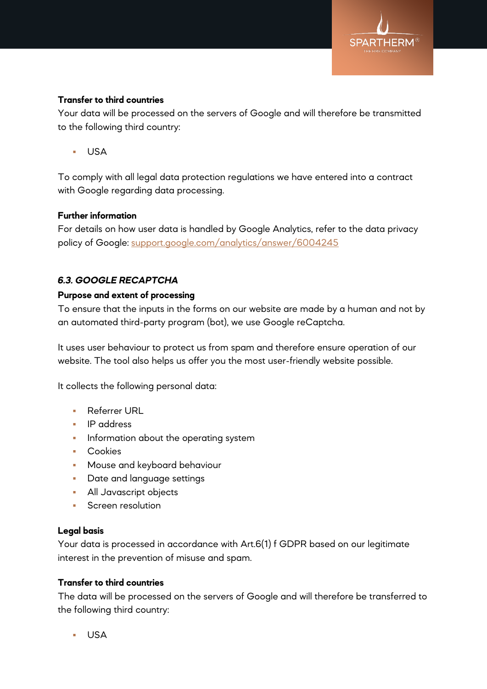

# **Transfer to third countries**

Your data will be processed on the servers of Google and will therefore be transmitted to the following third country:

USA

To comply with all legal data protection regulations we have entered into a contract with Google regarding data processing.

#### **Further information**

For details on how user data is handled by Google Analytics, refer to the data privacy policy of Google: [support.google.com/analytics/answer/6004245](http://support.google.com/analytics/answer/6004245)

# *6.3. GOOGLE RECAPTCHA*

#### **Purpose and extent of processing**

To ensure that the inputs in the forms on our website are made by a human and not by an automated third-party program (bot), we use Google reCaptcha.

It uses user behaviour to protect us from spam and therefore ensure operation of our website. The tool also helps us offer you the most user-friendly website possible.

It collects the following personal data:

- **Referrer URL**
- **IP** address
- **Information about the operating system**
- **Cookies**
- **Mouse and keyboard behaviour**
- **Date and language settings**
- **All Javascript objects**
- **Screen resolution**

#### **Legal basis**

Your data is processed in accordance with Art.6(1) f GDPR based on our legitimate interest in the prevention of misuse and spam.

#### **Transfer to third countries**

The data will be processed on the servers of Google and will therefore be transferred to the following third country:

USA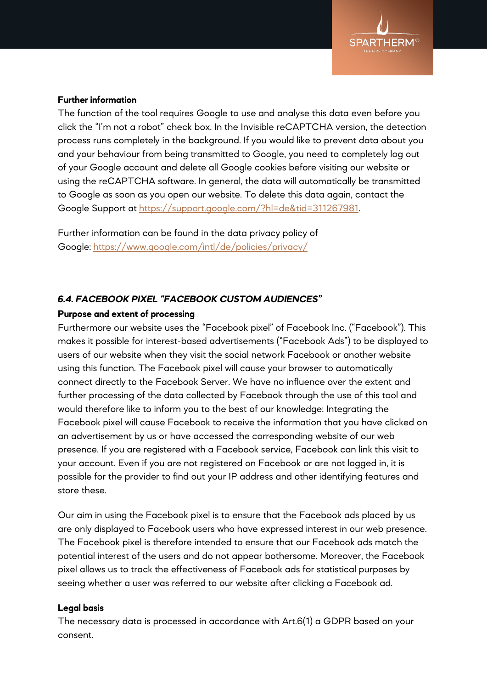

### **Further information**

The function of the tool requires Google to use and analyse this data even before you click the "I'm not a robot" check box. In the Invisible reCAPTCHA version, the detection process runs completely in the background. If you would like to prevent data about you and your behaviour from being transmitted to Google, you need to completely log out of your Google account and delete all Google cookies before visiting our website or using the reCAPTCHA software. In general, the data will automatically be transmitted to Google as soon as you open our website. To delete this data again, contact the Google Support at [https://support.google.com/?hl=de&tid=311267981.](https://support.google.com/?hl=de&tid=311267981)

Further information can be found in the data privacy policy of Google: <https://www.google.com/intl/de/policies/privacy/>

# *6.4. FACEBOOK PIXEL "FACEBOOK CUSTOM AUDIENCES"*

#### **Purpose and extent of processing**

Furthermore our website uses the "Facebook pixel" of Facebook Inc. ("Facebook"). This makes it possible for interest-based advertisements ("Facebook Ads") to be displayed to users of our website when they visit the social network Facebook or another website using this function. The Facebook pixel will cause your browser to automatically connect directly to the Facebook Server. We have no influence over the extent and further processing of the data collected by Facebook through the use of this tool and would therefore like to inform you to the best of our knowledge: Integrating the Facebook pixel will cause Facebook to receive the information that you have clicked on an advertisement by us or have accessed the corresponding website of our web presence. If you are registered with a Facebook service, Facebook can link this visit to your account. Even if you are not registered on Facebook or are not logged in, it is possible for the provider to find out your IP address and other identifying features and store these.

Our aim in using the Facebook pixel is to ensure that the Facebook ads placed by us are only displayed to Facebook users who have expressed interest in our web presence. The Facebook pixel is therefore intended to ensure that our Facebook ads match the potential interest of the users and do not appear bothersome. Moreover, the Facebook pixel allows us to track the effectiveness of Facebook ads for statistical purposes by seeing whether a user was referred to our website after clicking a Facebook ad.

#### **Legal basis**

The necessary data is processed in accordance with Art.6(1) a GDPR based on your consent.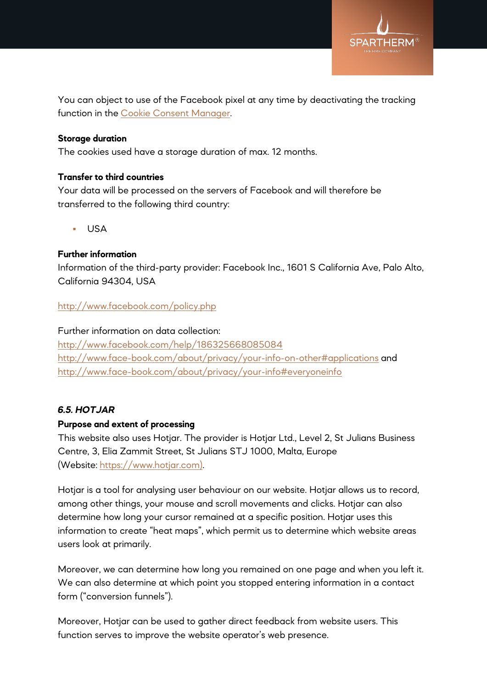

You can object to use of the Facebook pixel at any time by deactivating the tracking function in the [Cookie Consent Manager.](https://www.spartherm.com/en/legal-information/privacy/#consent)

# **Storage duration**

The cookies used have a storage duration of max. 12 months.

# **Transfer to third countries**

Your data will be processed on the servers of Facebook and will therefore be transferred to the following third country:

USA

# **Further information**

Information of the third-party provider: Facebook Inc., 1601 S California Ave, Palo Alto, California 94304, USA

# <http://www.facebook.com/policy.php>

# Further information on data collection:

<http://www.facebook.com/help/186325668085084> <http://www.face-book.com/about/privacy/your-info-on-other#applications> and <http://www.face-book.com/about/privacy/your-info#everyoneinfo>

# *6.5. HOTJAR*

# **Purpose and extent of processing**

This website also uses Hotjar. The provider is Hotjar Ltd., Level 2, St Julians Business Centre, 3, Elia Zammit Street, St Julians STJ 1000, Malta, Europe (Website: [https://www.hotjar.com\).](https://www.hotjar.com/)

Hotjar is a tool for analysing user behaviour on our website. Hotjar allows us to record, among other things, your mouse and scroll movements and clicks. Hotjar can also determine how long your cursor remained at a specific position. Hotjar uses this information to create "heat maps", which permit us to determine which website areas users look at primarily.

Moreover, we can determine how long you remained on one page and when you left it. We can also determine at which point you stopped entering information in a contact form ("conversion funnels").

Moreover, Hotjar can be used to gather direct feedback from website users. This function serves to improve the website operator's web presence.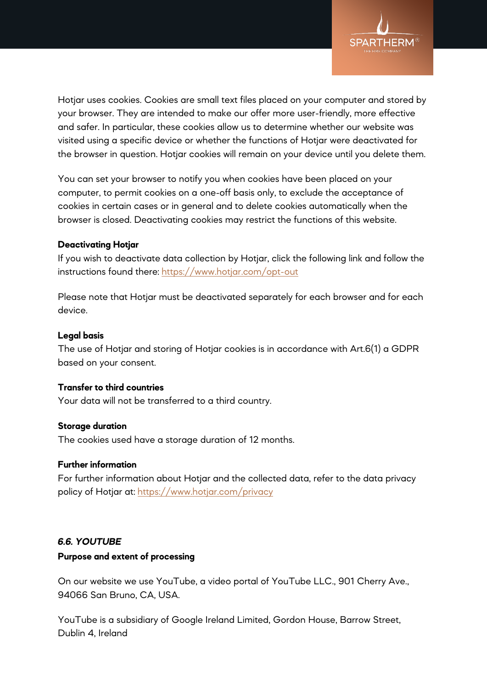

Hotjar uses cookies. Cookies are small text files placed on your computer and stored by your browser. They are intended to make our offer more user-friendly, more effective and safer. In particular, these cookies allow us to determine whether our website was visited using a specific device or whether the functions of Hotjar were deactivated for the browser in question. Hotjar cookies will remain on your device until you delete them.

You can set your browser to notify you when cookies have been placed on your computer, to permit cookies on a one-off basis only, to exclude the acceptance of cookies in certain cases or in general and to delete cookies automatically when the browser is closed. Deactivating cookies may restrict the functions of this website.

#### **Deactivating Hotjar**

If you wish to deactivate data collection by Hotjar, click the following link and follow the instructions found there: <https://www.hotjar.com/opt-out>

Please note that Hotjar must be deactivated separately for each browser and for each device.

#### **Legal basis**

The use of Hotjar and storing of Hotjar cookies is in accordance with Art.6(1) a GDPR based on your consent.

# **Transfer to third countries**

Your data will not be transferred to a third country.

#### **Storage duration**

The cookies used have a storage duration of 12 months.

# **Further information**

For further information about Hotjar and the collected data, refer to the data privacy policy of Hotjar at: <https://www.hotjar.com/privacy>

# *6.6. YOUTUBE*

#### **Purpose and extent of processing**

On our website we use YouTube, a video portal of YouTube LLC., 901 Cherry Ave., 94066 San Bruno, CA, USA.

YouTube is a subsidiary of Google Ireland Limited, Gordon House, Barrow Street, Dublin 4, Ireland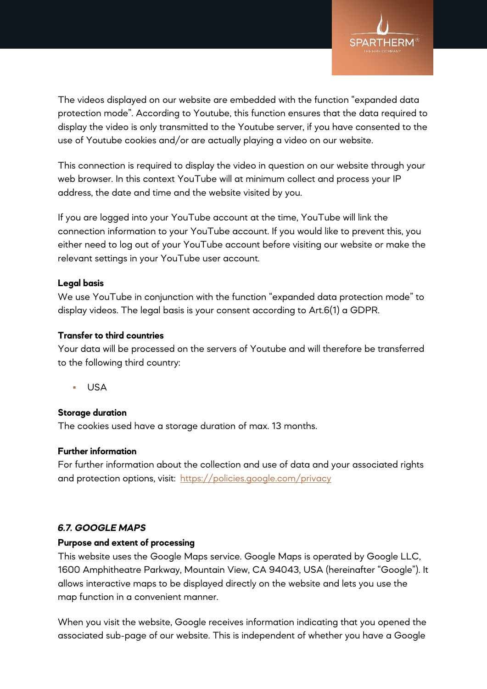

The videos displayed on our website are embedded with the function "expanded data protection mode". According to Youtube, this function ensures that the data required to display the video is only transmitted to the Youtube server, if you have consented to the use of Youtube cookies and/or are actually playing a video on our website.

This connection is required to display the video in question on our website through your web browser. In this context YouTube will at minimum collect and process your IP address, the date and time and the website visited by you.

If you are logged into your YouTube account at the time, YouTube will link the connection information to your YouTube account. If you would like to prevent this, you either need to log out of your YouTube account before visiting our website or make the relevant settings in your YouTube user account.

#### **Legal basis**

We use YouTube in conjunction with the function "expanded data protection mode" to display videos. The legal basis is your consent according to Art.6(1) a GDPR.

# **Transfer to third countries**

Your data will be processed on the servers of Youtube and will therefore be transferred to the following third country:

USA

# **Storage duration**

The cookies used have a storage duration of max. 13 months.

#### **Further information**

For further information about the collection and use of data and your associated rights and protection options, visit: <https://policies.google.com/privacy>

# *6.7. GOOGLE MAPS*

#### **Purpose and extent of processing**

This website uses the Google Maps service. Google Maps is operated by Google LLC, 1600 Amphitheatre Parkway, Mountain View, CA 94043, USA (hereinafter "Google"). It allows interactive maps to be displayed directly on the website and lets you use the map function in a convenient manner.

When you visit the website, Google receives information indicating that you opened the associated sub-page of our website. This is independent of whether you have a Google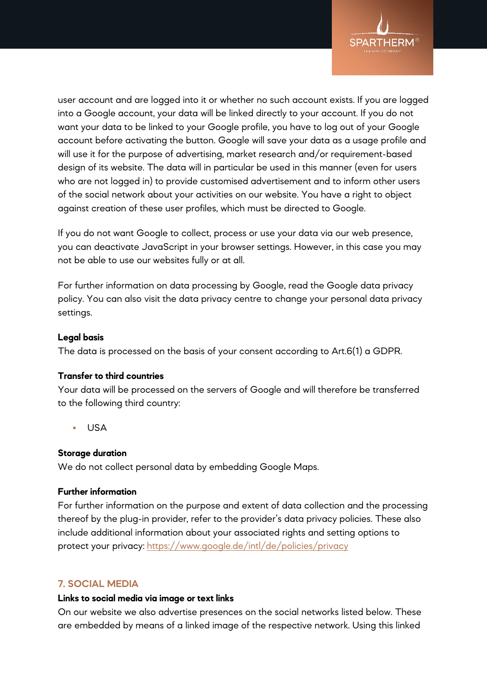

user account and are logged into it or whether no such account exists. If you are logged into a Google account, your data will be linked directly to your account. If you do not want your data to be linked to your Google profile, you have to log out of your Google account before activating the button. Google will save your data as a usage profile and will use it for the purpose of advertising, market research and/or requirement-based design of its website. The data will in particular be used in this manner (even for users who are not logged in) to provide customised advertisement and to inform other users of the social network about your activities on our website. You have a right to object against creation of these user profiles, which must be directed to Google.

If you do not want Google to collect, process or use your data via our web presence, you can deactivate JavaScript in your browser settings. However, in this case you may not be able to use our websites fully or at all.

For further information on data processing by Google, read the Google data privacy policy. You can also visit the data privacy centre to change your personal data privacy settings.

# **Legal basis**

The data is processed on the basis of your consent according to Art.6(1) a GDPR.

#### **Transfer to third countries**

Your data will be processed on the servers of Google and will therefore be transferred to the following third country:

USA

# **Storage duration**

We do not collect personal data by embedding Google Maps.

#### **Further information**

For further information on the purpose and extent of data collection and the processing thereof by the plug-in provider, refer to the provider's data privacy policies. These also include additional information about your associated rights and setting options to protect your privacy: <https://www.google.de/intl/de/policies/privacy>

# **7. SOCIAL MEDIA**

#### **Links to social media via image or text links**

On our website we also advertise presences on the social networks listed below. These are embedded by means of a linked image of the respective network. Using this linked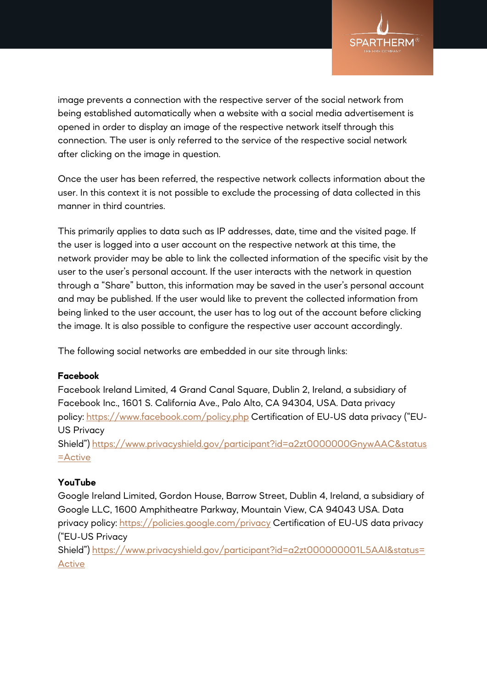

image prevents a connection with the respective server of the social network from being established automatically when a website with a social media advertisement is opened in order to display an image of the respective network itself through this connection. The user is only referred to the service of the respective social network after clicking on the image in question.

Once the user has been referred, the respective network collects information about the user. In this context it is not possible to exclude the processing of data collected in this manner in third countries.

This primarily applies to data such as IP addresses, date, time and the visited page. If the user is logged into a user account on the respective network at this time, the network provider may be able to link the collected information of the specific visit by the user to the user's personal account. If the user interacts with the network in question through a "Share" button, this information may be saved in the user's personal account and may be published. If the user would like to prevent the collected information from being linked to the user account, the user has to log out of the account before clicking the image. It is also possible to configure the respective user account accordingly.

The following social networks are embedded in our site through links:

# **Facebook**

Facebook Ireland Limited, 4 Grand Canal Square, Dublin 2, Ireland, a subsidiary of Facebook Inc., 1601 S. California Ave., Palo Alto, CA 94304, USA. Data privacy policy: <https://www.facebook.com/policy.php> Certification of EU-US data privacy ("EU-US Privacy Shield") [https://www.privacyshield.gov/participant?id=a2zt0000000GnywAAC&status](https://www.privacyshield.gov/participant?id=a2zt0000000GnywAAC&status=Active)

# **YouTube**

[=Active](https://www.privacyshield.gov/participant?id=a2zt0000000GnywAAC&status=Active)

Google Ireland Limited, Gordon House, Barrow Street, Dublin 4, Ireland, a subsidiary of Google LLC, 1600 Amphitheatre Parkway, Mountain View, CA 94043 USA. Data privacy policy: <https://policies.google.com/privacy> Certification of EU-US data privacy ("EU-US Privacy

Shield") [https://www.privacyshield.gov/participant?id=a2zt000000001L5AAI&status=](https://www.privacyshield.gov/participant?id=a2zt000000001L5AAI&status=Active) [Active](https://www.privacyshield.gov/participant?id=a2zt000000001L5AAI&status=Active)